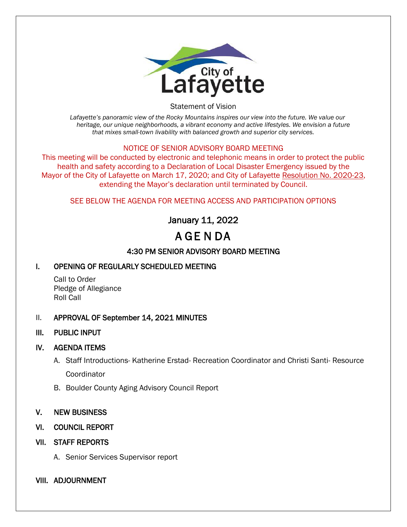

Statement of Vision

*Lafayette's panoramic view of the Rocky Mountains inspires our view into the future. We value our heritage, our unique neighborhoods, a vibrant economy and active lifestyles. We envision a future that mixes small-town livability with balanced growth and superior city services.*

#### NOTICE OF SENIOR ADVISORY BOARD MEETING

This meeting will be conducted by electronic and telephonic means in order to protect the public health and safety according to a Declaration of Local Disaster Emergency issued by the Mayor of the City of Lafayette on March 17, 2020; and City of Lafayette Resolution No. 2020-23, extending the Mayor's declaration until terminated by Council.

#### SEE BELOW THE AGENDA FOR MEETING ACCESS AND PARTICIPATION OPTIONS

# January 11, 2022

# A GE N DA

## 4:30 PM SENIOR ADVISORY BOARD MEETING

### I. OPENING OF REGULARLY SCHEDULED MEETING

Call to Order Pledge of Allegiance Roll Call

#### II. APPROVAL OF September 14, 2021 MINUTES

#### III. PUBLIC INPUT

#### IV. AGENDA ITEMS

- A. Staff Introductions- Katherine Erstad- Recreation Coordinator and Christi Santi- Resource **Coordinator**
- B. Boulder County Aging Advisory Council Report

#### V. NEW BUSINESS

VI. COUNCIL REPORT

#### VII. STAFF REPORTS

A. Senior Services Supervisor report

#### VIII. ADJOURNMENT